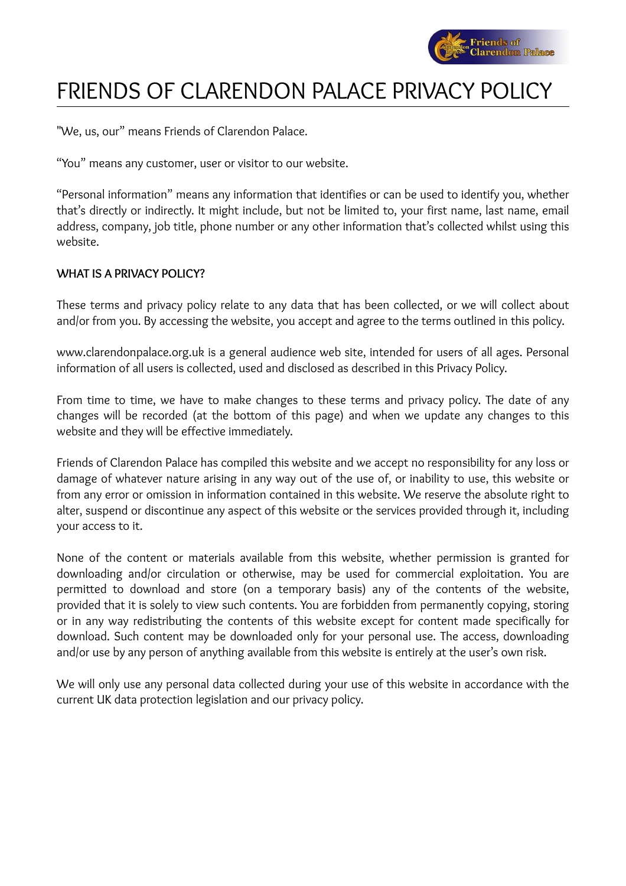

# FRIENDS OF CLARENDON PALACE PRIVACY POLICY

"We, us, our" means Friends of Clarendon Palace.

"You" means any customer, user or visitor to our website.

"Personal information" means any information that identifies or can be used to identify you, whether that's directly or indirectly. It might include, but not be limited to, your first name, last name, email address, company, job title, phone number or any other information that's collected whilst using this website.

## **WHAT IS A PRIVACY POLICY?**

These terms and privacy policy relate to any data that has been collected, or we will collect about and/or from you. By accessing the website, you accept and agree to the terms outlined in this policy.

www.clarendonpalace.org.uk is a general audience web site, intended for users of all ages. Personal information of all users is collected, used and disclosed as described in this Privacy Policy.

From time to time, we have to make changes to these terms and privacy policy. The date of any changes will be recorded (at the bottom of this page) and when we update any changes to this website and they will be effective immediately.

Friends of Clarendon Palace has compiled this website and we accept no responsibility for any loss or damage of whatever nature arising in any way out of the use of, or inability to use, this website or from any error or omission in information contained in this website. We reserve the absolute right to alter, suspend or discontinue any aspect of this website or the services provided through it, including your access to it.

None of the content or materials available from this website, whether permission is granted for downloading and/or circulation or otherwise, may be used for commercial exploitation. You are permitted to download and store (on a temporary basis) any of the contents of the website, provided that it is solely to view such contents. You are forbidden from permanently copying, storing or in any way redistributing the contents of this website except for content made specifically for download. Such content may be downloaded only for your personal use. The access, downloading and/or use by any person of anything available from this website is entirely at the user's own risk.

We will only use any personal data collected during your use of this website in accordance with the current UK data protection legislation and our privacy policy.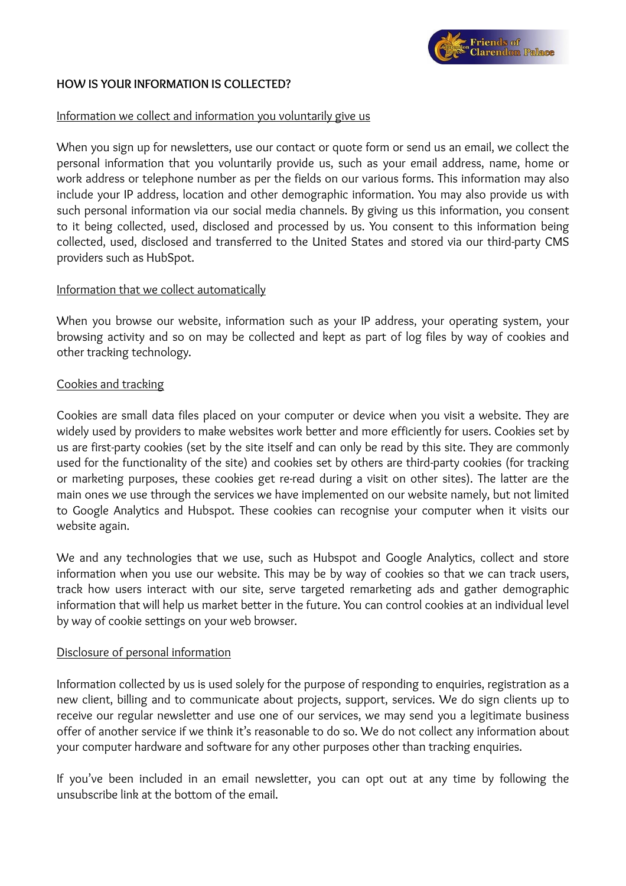

## **HOW IS YOUR INFORMATION IS COLLECTED?**

### Information we collect and information you voluntarily give us

When you sign up for newsletters, use our contact or quote form or send us an email, we collect the personal information that you voluntarily provide us, such as your email address, name, home or work address or telephone number as per the fields on our various forms. This information may also include your IP address, location and other demographic information. You may also provide us with such personal information via our social media channels. By giving us this information, you consent to it being collected, used, disclosed and processed by us. You consent to this information being collected, used, disclosed and transferred to the United States and stored via our third-party CMS providers such as HubSpot.

### Information that we collect automatically

When you browse our website, information such as your IP address, your operating system, your browsing activity and so on may be collected and kept as part of log files by way of cookies and other tracking technology.

### Cookies and tracking

Cookies are small data files placed on your computer or device when you visit a website. They are widely used by providers to make websites work better and more efficiently for users. Cookies set by us are first-party cookies (set by the site itself and can only be read by this site. They are commonly used for the functionality of the site) and cookies set by others are third-party cookies (for tracking or marketing purposes, these cookies get re-read during a visit on other sites). The latter are the main ones we use through the services we have implemented on our website namely, but not limited to Google Analytics and Hubspot. These cookies can recognise your computer when it visits our website again.

We and any technologies that we use, such as Hubspot and Google Analytics, collect and store information when you use our website. This may be by way of cookies so that we can track users, track how users interact with our site, serve targeted remarketing ads and gather demographic information that will help us market better in the future. You can control cookies at an individual level by way of cookie settings on your web browser.

#### Disclosure of personal information

Information collected by us is used solely for the purpose of responding to enquiries, registration as a new client, billing and to communicate about projects, support, services. We do sign clients up to receive our regular newsletter and use one of our services, we may send you a legitimate business offer of another service if we think it's reasonable to do so. We do not collect any information about your computer hardware and software for any other purposes other than tracking enquiries.

If you've been included in an email newsletter, you can opt out at any time by following the unsubscribe link at the bottom of the email.